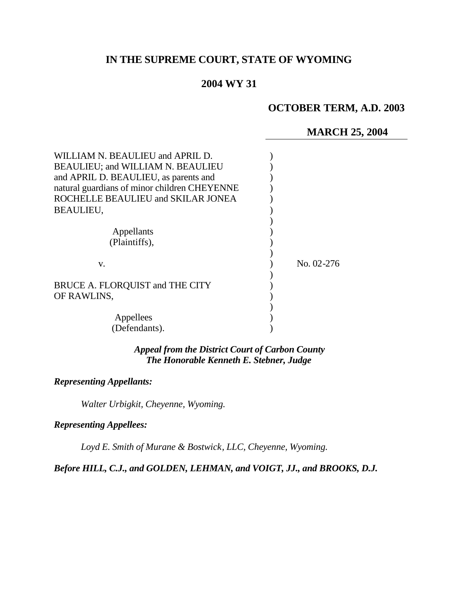# **IN THE SUPREME COURT, STATE OF WYOMING**

## **2004 WY 31**

## **OCTOBER TERM, A.D. 2003**

## **MARCH 25, 2004**

| WILLIAM N. BEAULIEU and APRIL D.<br><b>BEAULIEU; and WILLIAM N. BEAULIEU</b><br>and APRIL D. BEAULIEU, as parents and<br>natural guardians of minor children CHEYENNE<br>ROCHELLE BEAULIEU and SKILAR JONEA<br><b>BEAULIEU,</b><br>Appellants<br>(Plaintiffs), |            |
|----------------------------------------------------------------------------------------------------------------------------------------------------------------------------------------------------------------------------------------------------------------|------------|
| V.<br>BRUCE A. FLORQUIST and THE CITY                                                                                                                                                                                                                          | No. 02-276 |
| OF RAWLINS,<br>Appellees<br>(Defendants).                                                                                                                                                                                                                      |            |

## *Appeal from the District Court of Carbon County The Honorable Kenneth E. Stebner, Judge*

## *Representing Appellants:*

*Walter Urbigkit, Cheyenne, Wyoming.*

## *Representing Appellees:*

*Loyd E. Smith of Murane & Bostwick, LLC, Cheyenne, Wyoming.*

*Before HILL, C.J., and GOLDEN, LEHMAN, and VOIGT, JJ., and BROOKS, D.J.*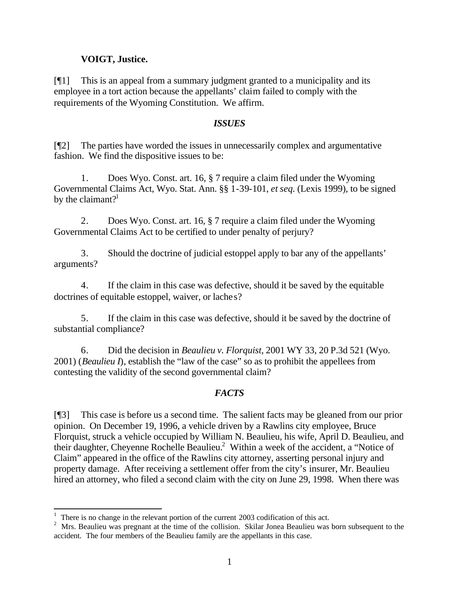## **VOIGT, Justice.**

[¶1] This is an appeal from a summary judgment granted to a municipality and its employee in a tort action because the appellants' claim failed to comply with the requirements of the Wyoming Constitution. We affirm.

### *ISSUES*

[¶2] The parties have worded the issues in unnecessarily complex and argumentative fashion. We find the dispositive issues to be:

1. Does Wyo. Const. art. 16, § 7 require a claim filed under the Wyoming Governmental Claims Act, Wyo. Stat. Ann. §§ 1-39-101, *et seq.* (Lexis 1999), to be signed by the claimant? $1$ 

2. Does Wyo. Const. art. 16, § 7 require a claim filed under the Wyoming Governmental Claims Act to be certified to under penalty of perjury?

3. Should the doctrine of judicial estoppel apply to bar any of the appellants' arguments?

4. If the claim in this case was defective, should it be saved by the equitable doctrines of equitable estoppel, waiver, or laches?

5. If the claim in this case was defective, should it be saved by the doctrine of substantial compliance?

6. Did the decision in *Beaulieu v. Florquist,* 2001 WY 33, 20 P.3d 521 (Wyo. 2001) (*Beaulieu I*), establish the "law of the case" so as to prohibit the appellees from contesting the validity of the second governmental claim?

## *FACTS*

[¶3] This case is before us a second time. The salient facts may be gleaned from our prior opinion. On December 19, 1996, a vehicle driven by a Rawlins city employee, Bruce Florquist, struck a vehicle occupied by William N. Beaulieu, his wife, April D. Beaulieu, and their daughter, Cheyenne Rochelle Beaulieu.<sup>2</sup> Within a week of the accident, a "Notice of Claim" appeared in the office of the Rawlins city attorney, asserting personal injury and property damage. After receiving a settlement offer from the city's insurer, Mr. Beaulieu hired an attorney, who filed a second claim with the city on June 29, 1998. When there was

l

 $1$  There is no change in the relevant portion of the current 2003 codification of this act.

<sup>&</sup>lt;sup>2</sup> Mrs. Beaulieu was pregnant at the time of the collision. Skilar Jonea Beaulieu was born subsequent to the accident. The four members of the Beaulieu family are the appellants in this case.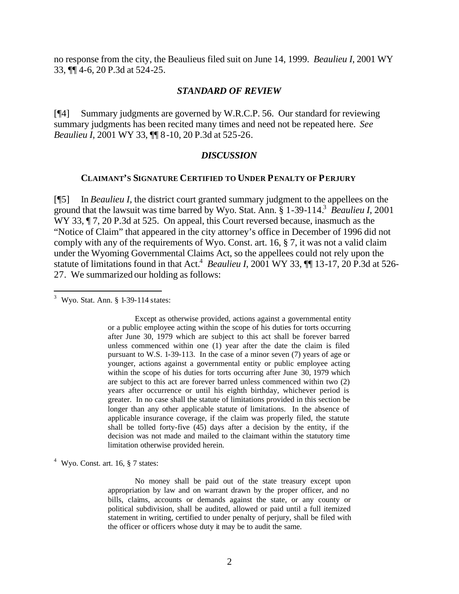no response from the city, the Beaulieus filed suit on June 14, 1999. *Beaulieu I*, 2001 WY 33, ¶¶ 4-6, 20 P.3d at 524-25.

#### *STANDARD OF REVIEW*

[¶4] Summary judgments are governed by W.R.C.P. 56. Our standard for reviewing summary judgments has been recited many times and need not be repeated here. *See Beaulieu I,* 2001 WY 33, ¶¶ 8-10, 20 P.3d at 525-26.

#### *DISCUSSION*

#### **CLAIMANT'S SIGNATURE CERTIFIED TO UNDER PENALTY OF PERJURY**

[¶5] In *Beaulieu I,* the district court granted summary judgment to the appellees on the ground that the lawsuit was time barred by Wyo. Stat. Ann. § 1-39-114.<sup>3</sup> *Beaulieu I,* 2001 WY 33,  $\P$  7, 20 P.3d at 525. On appeal, this Court reversed because, inasmuch as the "Notice of Claim" that appeared in the city attorney's office in December of 1996 did not comply with any of the requirements of Wyo. Const. art. 16, § 7, it was not a valid claim under the Wyoming Governmental Claims Act, so the appellees could not rely upon the statute of limitations found in that Act.<sup>4</sup> Beaulieu I, 2001 WY 33, ¶ 13-17, 20 P.3d at 526-27. We summarized our holding as follows:

 $3$  Wyo. Stat. Ann. § 1-39-114 states:

l

Except as otherwise provided, actions against a governmental entity or a public employee acting within the scope of his duties for torts occurring after June 30, 1979 which are subject to this act shall be forever barred unless commenced within one (1) year after the date the claim is filed pursuant to W.S. 1-39-113. In the case of a minor seven (7) years of age or younger, actions against a governmental entity or public employee acting within the scope of his duties for torts occurring after June 30, 1979 which are subject to this act are forever barred unless commenced within two (2) years after occurrence or until his eighth birthday, whichever period is greater. In no case shall the statute of limitations provided in this section be longer than any other applicable statute of limitations. In the absence of applicable insurance coverage, if the claim was properly filed, the statute shall be tolled forty-five (45) days after a decision by the entity, if the decision was not made and mailed to the claimant within the statutory time limitation otherwise provided herein.

 $4$  Wyo. Const. art. 16,  $§$  7 states:

No money shall be paid out of the state treasury except upon appropriation by law and on warrant drawn by the proper officer, and no bills, claims, accounts or demands against the state, or any county or political subdivision, shall be audited, allowed or paid until a full itemized statement in writing, certified to under penalty of perjury, shall be filed with the officer or officers whose duty it may be to audit the same.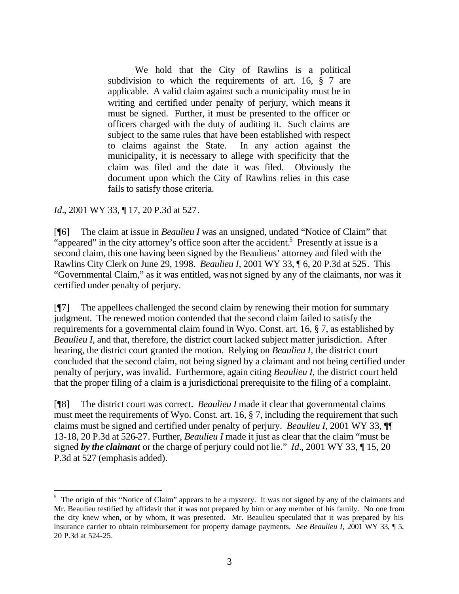We hold that the City of Rawlins is a political subdivision to which the requirements of art. 16, § 7 are applicable. A valid claim against such a municipality must be in writing and certified under penalty of perjury, which means it must be signed. Further, it must be presented to the officer or officers charged with the duty of auditing it. Such claims are subject to the same rules that have been established with respect to claims against the State. In any action against the municipality, it is necessary to allege with specificity that the claim was filed and the date it was filed. Obviously the document upon which the City of Rawlins relies in this case fails to satisfy those criteria.

*Id.*, 2001 WY 33, ¶ 17, 20 P.3d at 527.

l

[¶6] The claim at issue in *Beaulieu I* was an unsigned, undated "Notice of Claim" that "appeared" in the city attorney's office soon after the accident.<sup>5</sup> Presently at issue is a second claim, this one having been signed by the Beaulieus' attorney and filed with the Rawlins City Clerk on June 29, 1998. *Beaulieu I,* 2001 WY 33, ¶ 6, 20 P.3d at 525. This "Governmental Claim," as it was entitled, was not signed by any of the claimants, nor was it certified under penalty of perjury.

[¶7] The appellees challenged the second claim by renewing their motion for summary judgment. The renewed motion contended that the second claim failed to satisfy the requirements for a governmental claim found in Wyo. Const. art. 16, § 7, as established by *Beaulieu I,* and that, therefore, the district court lacked subject matter jurisdiction. After hearing, the district court granted the motion. Relying on *Beaulieu I,* the district court concluded that the second claim, not being signed by a claimant and not being certified under penalty of perjury, was invalid. Furthermore, again citing *Beaulieu I*, the district court held that the proper filing of a claim is a jurisdictional prerequisite to the filing of a complaint.

[¶8] The district court was correct. *Beaulieu I* made it clear that governmental claims must meet the requirements of Wyo. Const. art. 16, § 7, including the requirement that such claims must be signed and certified under penalty of perjury. *Beaulieu I,* 2001 WY 33, ¶¶ 13-18, 20 P.3d at 526-27. Further, *Beaulieu I* made it just as clear that the claim "must be signed *by the claimant* or the charge of perjury could not lie." *Id.*, 2001 WY 33, ¶ 15, 20 P.3d at 527 (emphasis added).

<sup>&</sup>lt;sup>5</sup> The origin of this "Notice of Claim" appears to be a mystery. It was not signed by any of the claimants and Mr. Beaulieu testified by affidavit that it was not prepared by him or any member of his family. No one from the city knew when, or by whom, it was presented. Mr. Beaulieu speculated that it was prepared by his insurance carrier to obtain reimbursement for property damage payments. *See Beaulieu I,* 2001 WY 33, ¶ 5, 20 P.3d at 524-25.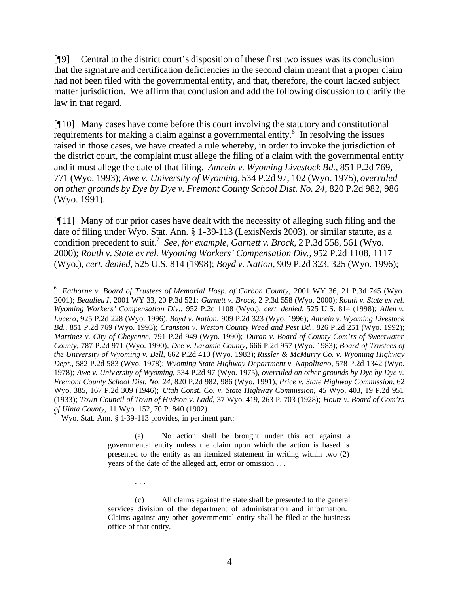[¶9] Central to the district court's disposition of these first two issues was its conclusion that the signature and certification deficiencies in the second claim meant that a proper claim had not been filed with the governmental entity, and that, therefore, the court lacked subject matter jurisdiction. We affirm that conclusion and add the following discussion to clarify the law in that regard.

[¶10] Many cases have come before this court involving the statutory and constitutional requirements for making a claim against a governmental entity.<sup>6</sup> In resolving the issues raised in those cases, we have created a rule whereby, in order to invoke the jurisdiction of the district court, the complaint must allege the filing of a claim with the governmental entity and it must allege the date of that filing. *Amrein v. Wyoming Livestock Bd.,* 851 P.2d 769, 771 (Wyo. 1993); *Awe v. University of Wyoming,* 534 P.2d 97, 102 (Wyo. 1975), *overruled on other grounds by Dye by Dye v. Fremont County School Dist. No. 24*, 820 P.2d 982, 986 (Wyo. 1991).

[¶11] Many of our prior cases have dealt with the necessity of alleging such filing and the date of filing under Wyo. Stat. Ann. § 1-39-113 (LexisNexis 2003), or similar statute, as a condition precedent to suit.<sup>7</sup> See, for example, Garnett v. Brock, 2 P.3d 558, 561 (Wyo. 2000); *Routh v. State ex rel. Wyoming Workers' Compensation Div.,* 952 P.2d 1108, 1117 (Wyo.), *cert. denied*, 525 U.S. 814 (1998); *Boyd v. Nation,* 909 P.2d 323, 325 (Wyo. 1996);

Wyo. Stat. Ann. § 1-39-113 provides, in pertinent part:

. . .

l

(a) No action shall be brought under this act against a governmental entity unless the claim upon which the action is based is presented to the entity as an itemized statement in writing within two (2) years of the date of the alleged act, error or omission . . .

(c) All claims against the state shall be presented to the general services division of the department of administration and information. Claims against any other governmental entity shall be filed at the business office of that entity.

<sup>6</sup> *Eathorne v. Board of Trustees of Memorial Hosp. of Carbon County,* 2001 WY 36, 21 P.3d 745 (Wyo. 2001); *Beaulieu I*, 2001 WY 33, 20 P.3d 521; *Garnett v. Brock,* 2 P.3d 558 (Wyo. 2000); *Routh v. State ex rel. Wyoming Workers' Compensation Div.,* 952 P.2d 1108 (Wyo.), *cert. denied*, 525 U.S. 814 (1998); *Allen v. Lucero,* 925 P.2d 228 (Wyo. 1996); *Boyd v. Nation,* 909 P.2d 323 (Wyo. 1996); *Amrein v. Wyoming Livestock Bd.,* 851 P.2d 769 (Wyo. 1993); *Cranston v. Weston County Weed and Pest Bd.,* 826 P.2d 251 (Wyo. 1992); *Martinez v. City of Cheyenne,* 791 P.2d 949 (Wyo. 1990); *Duran v. Board of County Com'rs of Sweetwater County,* 787 P.2d 971 (Wyo. 1990); *Dee v. Laramie County,* 666 P.2d 957 (Wyo. 1983); *Board of Trustees of the University of Wyoming v. Bell,* 662 P.2d 410 (Wyo. 1983); *Rissler & McMurry Co. v. Wyoming Highway Dept.,* 582 P.2d 583 (Wyo. 1978); *Wyoming State Highway Department v. Napolitano,* 578 P.2d 1342 (Wyo. 1978); *Awe v. Univ ersity of Wyoming,* 534 P.2d 97 (Wyo. 1975), *overruled on other grounds by Dye by Dye v. Fremont County School Dist. No. 24*, 820 P.2d 982, 986 (Wyo. 1991); *Price v. State Highway Commission,* 62 Wyo. 385, 167 P.2d 309 (1946); *Utah Const. Co. v. State Highway Commission,* 45 Wyo. 403, 19 P.2d 951 (1933); *Town Council of Town of Hudson v. Ladd,* 37 Wyo. 419, 263 P. 703 (1928); *Houtz v. Board of Com'rs of Uinta County,* 11 Wyo. 152, 70 P. 840 (1902). 7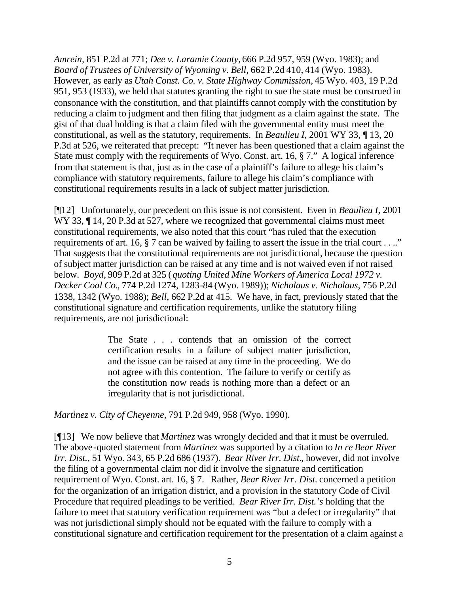*Amrein,* 851 P.2d at 771; *Dee v. Laramie County,* 666 P.2d 957, 959 (Wyo. 1983); and *Board of Trustees of University of Wyoming v. Bell,* 662 P.2d 410, 414 (Wyo. 1983). However, as early as *Utah Const. Co. v. State Highway Commission,* 45 Wyo. 403, 19 P.2d 951, 953 (1933), we held that statutes granting the right to sue the state must be construed in consonance with the constitution, and that plaintiffs cannot comply with the constitution by reducing a claim to judgment and then filing that judgment as a claim against the state. The gist of that dual holding is that a claim filed with the governmental entity must meet the constitutional, as well as the statutory, requirements. In *Beaulieu I,* 2001 WY 33, ¶ 13, 20 P.3d at 526, we reiterated that precept: "It never has been questioned that a claim against the State must comply with the requirements of Wyo. Const. art. 16, § 7." A logical inference from that statement is that, just as in the case of a plaintiff's failure to allege his claim's compliance with statutory requirements, failure to allege his claim's compliance with constitutional requirements results in a lack of subject matter jurisdiction.

[¶12] Unfortunately, our precedent on this issue is not consistent. Even in *Beaulieu I,* 2001 WY 33,  $\P$  14, 20 P.3d at 527, where we recognized that governmental claims must meet constitutional requirements, we also noted that this court "has ruled that the execution requirements of art. 16, § 7 can be waived by failing to assert the issue in the trial court . . .." That suggests that the constitutional requirements are not jurisdictional, because the question of subject matter jurisdiction can be raised at any time and is not waived even if not raised below. *Boyd,* 909 P.2d at 325 (*quoting United Mine Workers of America Local 1972 v. Decker Coal Co.*, 774 P.2d 1274, 1283-84 (Wyo. 1989)); *Nicholaus v. Nicholaus,* 756 P.2d 1338, 1342 (Wyo. 1988); *Bell,* 662 P.2d at 415. We have, in fact, previously stated that the constitutional signature and certification requirements, unlike the statutory filing requirements, are not jurisdictional:

> The State . . . contends that an omission of the correct certification results in a failure of subject matter jurisdiction, and the issue can be raised at any time in the proceeding. We do not agree with this contention. The failure to verify or certify as the constitution now reads is nothing more than a defect or an irregularity that is not jurisdictional.

*Martinez v. City of Cheyenne,* 791 P.2d 949, 958 (Wyo. 1990).

[¶13] We now believe that *Martinez* was wrongly decided and that it must be overruled. The above-quoted statement from *Martinez* was supported by a citation to *In re Bear River Irr. Dist.,* 51 Wyo. 343, 65 P.2d 686 (1937). *Bear River Irr. Dist.*, however, did not involve the filing of a governmental claim nor did it involve the signature and certification requirement of Wyo. Const. art. 16, § 7. Rather, *Bear River Irr. Dist.* concerned a petition for the organization of an irrigation district, and a provision in the statutory Code of Civil Procedure that required pleadings to be verified. *Bear River Irr. Dist.'s* holding that the failure to meet that statutory verification requirement was "but a defect or irregularity" that was not jurisdictional simply should not be equated with the failure to comply with a constitutional signature and certification requirement for the presentation of a claim against a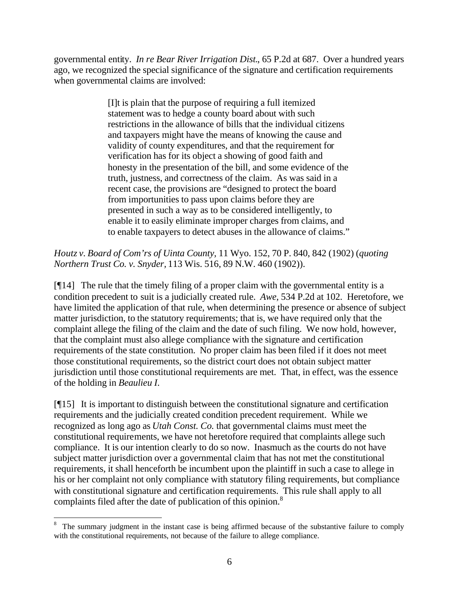governmental entity. *In re Bear River Irrigation Dist.*, 65 P.2d at 687. Over a hundred years ago, we recognized the special significance of the signature and certification requirements when governmental claims are involved:

> [I]t is plain that the purpose of requiring a full itemized statement was to hedge a county board about with such restrictions in the allowance of bills that the individual citizens and taxpayers might have the means of knowing the cause and validity of county expenditures, and that the requirement for verification has for its object a showing of good faith and honesty in the presentation of the bill, and some evidence of the truth, justness, and correctness of the claim. As was said in a recent case, the provisions are "designed to protect the board from importunities to pass upon claims before they are presented in such a way as to be considered intelligently, to enable it to easily eliminate improper charges from claims, and to enable taxpayers to detect abuses in the allowance of claims."

*Houtz v. Board of Com'rs of Uinta County,* 11 Wyo. 152, 70 P. 840, 842 (1902) (*quoting Northern Trust Co. v. Snyder,* 113 Wis. 516, 89 N.W. 460 (1902)).

[¶14] The rule that the timely filing of a proper claim with the governmental entity is a condition precedent to suit is a judicially created rule. *Awe,* 534 P.2d at 102. Heretofore, we have limited the application of that rule, when determining the presence or absence of subject matter jurisdiction, to the statutory requirements; that is, we have required only that the complaint allege the filing of the claim and the date of such filing. We now hold, however, that the complaint must also allege compliance with the signature and certification requirements of the state constitution. No proper claim has been filed if it does not meet those constitutional requirements, so the district court does not obtain subject matter jurisdiction until those constitutional requirements are met. That, in effect, was the essence of the holding in *Beaulieu I*.

[¶15] It is important to distinguish between the constitutional signature and certification requirements and the judicially created condition precedent requirement. While we recognized as long ago as *Utah Const. Co.* that governmental claims must meet the constitutional requirements, we have not heretofore required that complaints allege such compliance. It is our intention clearly to do so now. Inasmuch as the courts do not have subject matter jurisdiction over a governmental claim that has not met the constitutional requirements, it shall henceforth be incumbent upon the plaintiff in such a case to allege in his or her complaint not only compliance with statutory filing requirements, but compliance with constitutional signature and certification requirements. This rule shall apply to all complaints filed after the date of publication of this opinion.<sup>8</sup>

 $\frac{1}{8}$  The summary judgment in the instant case is being affirmed because of the substantive failure to comply with the constitutional requirements, not because of the failure to allege compliance.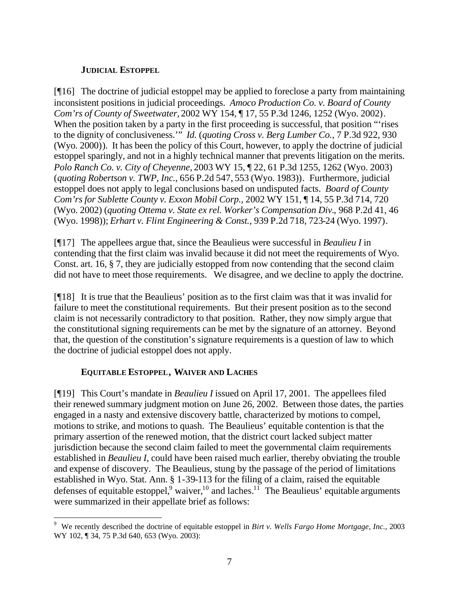## **JUDICIAL ESTOPPEL**

[¶16] The doctrine of judicial estoppel may be applied to foreclose a party from maintaining inconsistent positions in judicial proceedings. *Amoco Production Co. v. Board of County Com'rs of County of Sweetwater,* 2002 WY 154, ¶ 17, 55 P.3d 1246, 1252 (Wyo. 2002). When the position taken by a party in the first proceeding is successful, that position "rises" to the dignity of conclusiveness.'" *Id.* (*quoting Cross v. Berg Lumber Co.,* 7 P.3d 922, 930 (Wyo. 2000)). It has been the policy of this Court, however, to apply the doctrine of judicial estoppel sparingly, and not in a highly technical manner that prevents litigation on the merits. *Polo Ranch Co. v. City of Cheyenne,* 2003 WY 15, ¶ 22, 61 P.3d 1255, 1262 (Wyo. 2003) (*quoting Robertson v. TWP, Inc.*, 656 P.2d 547, 553 (Wyo. 1983)). Furthermore, judicial estoppel does not apply to legal conclusions based on undisputed facts. *Board of County Com'rs for Sublette County v. Exxon Mobil Corp.,* 2002 WY 151, ¶ 14, 55 P.3d 714, 720 (Wyo. 2002) (*quoting Ottema v. State ex rel. Worker's Compensation Div.*, 968 P.2d 41, 46 (Wyo. 1998)); *Erhart v. Flint Engineering & Const.,* 939 P.2d 718, 723-24 (Wyo. 1997).

[¶17] The appellees argue that, since the Beaulieus were successful in *Beaulieu I* in contending that the first claim was invalid because it did not meet the requirements of Wyo. Const. art. 16, § 7, they are judicially estopped from now contending that the second claim did not have to meet those requirements. We disagree, and we decline to apply the doctrine.

[¶18] It is true that the Beaulieus' position as to the first claim was that it was invalid for failure to meet the constitutional requirements. But their present position as to the second claim is not necessarily contradictory to that position. Rather, they now simply argue that the constitutional signing requirements can be met by the signature of an attorney. Beyond that, the question of the constitution's signature requirements is a question of law to which the doctrine of judicial estoppel does not apply.

## **EQUITABLE ESTOPPEL, WAIVER AND LACHES**

l

[¶19] This Court's mandate in *Beaulieu I* issued on April 17, 2001. The appellees filed their renewed summary judgment motion on June 26, 2002. Between those dates, the parties engaged in a nasty and extensive discovery battle, characterized by motions to compel, motions to strike, and motions to quash. The Beaulieus' equitable contention is that the primary assertion of the renewed motion, that the district court lacked subject matter jurisdiction because the second claim failed to meet the governmental claim requirements established in *Beaulieu I,* could have been raised much earlier, thereby obviating the trouble and expense of discovery. The Beaulieus, stung by the passage of the period of limitations established in Wyo. Stat. Ann. § 1-39-113 for the filing of a claim, raised the equitable defenses of equitable estoppel,  $9$  waiver,  $10$  and laches.  $11$  The Beaulieus' equitable arguments were summarized in their appellate brief as follows:

<sup>9</sup> We recently described the doctrine of equitable estoppel in *Birt v. Wells Fargo Home Mortgage, Inc.,* 2003 WY 102, ¶ 34, 75 P.3d 640, 653 (Wyo. 2003):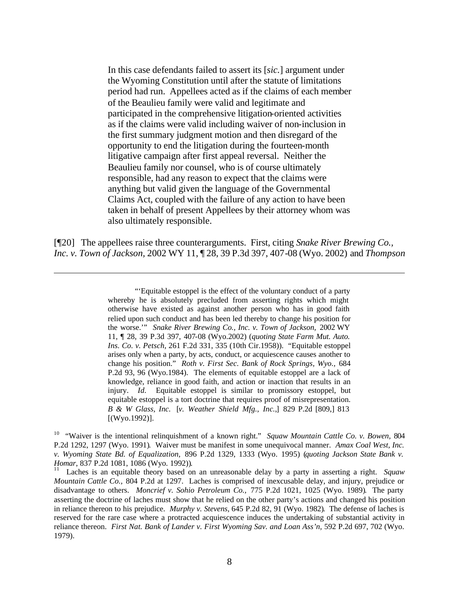In this case defendants failed to assert its [*sic.*] argument under the Wyoming Constitution until after the statute of limitations period had run. Appellees acted as if the claims of each member of the Beaulieu family were valid and legitimate and participated in the comprehensive litigation-oriented activities as if the claims were valid including waiver of non-inclusion in the first summary judgment motion and then disregard of the opportunity to end the litigation during the fourteen-month litigative campaign after first appeal reversal. Neither the Beaulieu family nor counsel, who is of course ultimately responsible, had any reason to expect that the claims were anything but valid given the language of the Governmental Claims Act, coupled with the failure of any action to have been taken in behalf of present Appellees by their attorney whom was also ultimately responsible.

[¶20] The appellees raise three counterarguments. First, citing *Snake River Brewing Co., Inc. v. Town of Jackson,* 2002 WY 11, ¶ 28, 39 P.3d 397, 407-08 (Wyo. 2002) and *Thompson* 

l

"'Equitable estoppel is the effect of the voluntary conduct of a party whereby he is absolutely precluded from asserting rights which might otherwise have existed as against another person who has in good faith relied upon such conduct and has been led thereby to change his position for the worse.'" *Snake River Brewing Co., Inc. v. Town of Jackson,* 2002 WY 11, ¶ 28, 39 P.3d 397, 407-08 (Wyo.2002) (*quoting State Farm Mut. Auto. Ins. Co. v. Petsch,* 261 F.2d 331, 335 (10th Cir.1958)). "Equitable estoppel arises only when a party, by acts, conduct, or acquiescence causes another to change his position." *Roth v. First Sec. Bank of Rock Springs, Wyo.,* 684 P.2d 93, 96 (Wyo.1984). The elements of equitable estoppel are a lack of knowledge, reliance in good faith, and action or inaction that results in an injury. *Id.* Equitable estoppel is similar to promissory estoppel, but equitable estoppel is a tort doctrine that requires proof of misrepresentation. *B & W Glass, Inc.* [*v. Weather Shield Mfg., Inc.,*] 829 P.2d [809,] 813 [(Wyo.1992)].

<sup>10</sup> "Waiver is the intentional relinquishment of a known right." *Squaw Mountain Cattle Co. v. Bowen,* 804 P.2d 1292, 1297 (Wyo. 1991). Waiver must be manifest in some unequivocal manner. *Amax Coal West, Inc. v. Wyoming State Bd. of Equalization,* 896 P.2d 1329, 1333 (Wyo. 1995) (*quoting Jackson State Bank v. Homar*, 837 P.2d 1081, 1086 (Wyo. 1992)).

<sup>11</sup> Laches is an equitable theory based on an unreasonable delay by a party in asserting a right. *Squaw Mountain Cattle Co.,* 804 P.2d at 1297. Laches is comprised of inexcusable delay, and injury, prejudice or disadvantage to others. *Moncrief v. Sohio Petroleum Co.,* 775 P.2d 1021, 1025 (Wyo. 1989). The party asserting the doctrine of laches must show that he relied on the other party's actions and changed his position in reliance thereon to his prejudice. *Murphy v. Stevens,* 645 P.2d 82, 91 (Wyo. 1982). The defense of laches is reserved for the rare case where a protracted acquiescence induces the undertaking of substantial activity in reliance thereon. *First Nat. Bank of Lander v. First Wyoming Sav. and Loan Ass'n*, 592 P.2d 697, 702 (Wyo. 1979).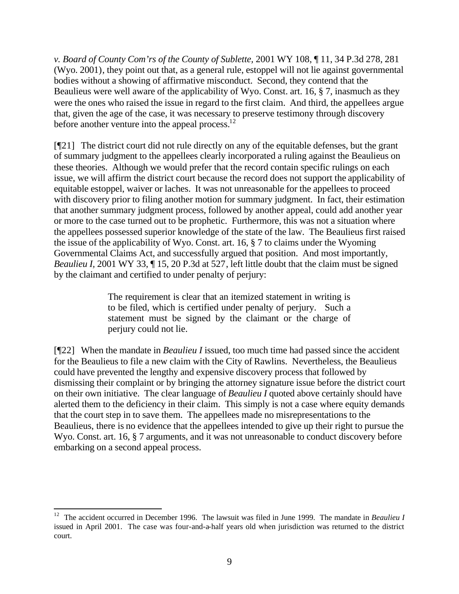*v. Board of County Com'rs of the County of Sublette,* 2001 WY 108, ¶ 11, 34 P.3d 278, 281 (Wyo. 2001), they point out that, as a general rule, estoppel will not lie against governmental bodies without a showing of affirmative misconduct. Second, they contend that the Beaulieus were well aware of the applicability of Wyo. Const. art. 16, § 7, inasmuch as they were the ones who raised the issue in regard to the first claim. And third, the appellees argue that, given the age of the case, it was necessary to preserve testimony through discovery before another venture into the appeal process. $^{12}$ 

[¶21] The district court did not rule directly on any of the equitable defenses, but the grant of summary judgment to the appellees clearly incorporated a ruling against the Beaulieus on these theories. Although we would prefer that the record contain specific rulings on each issue, we will affirm the district court because the record does not support the applicability of equitable estoppel, waiver or laches. It was not unreasonable for the appellees to proceed with discovery prior to filing another motion for summary judgment. In fact, their estimation that another summary judgment process, followed by another appeal, could add another year or more to the case turned out to be prophetic. Furthermore, this was not a situation where the appellees possessed superior knowledge of the state of the law. The Beaulieus first raised the issue of the applicability of Wyo. Const. art. 16, § 7 to claims under the Wyoming Governmental Claims Act, and successfully argued that position. And most importantly, *Beaulieu I,* 2001 WY 33,  $\P$  15, 20 P.3d at 527, left little doubt that the claim must be signed by the claimant and certified to under penalty of perjury:

> The requirement is clear that an itemized statement in writing is to be filed, which is certified under penalty of perjury. Such a statement must be signed by the claimant or the charge of perjury could not lie.

[¶22] When the mandate in *Beaulieu I* issued, too much time had passed since the accident for the Beaulieus to file a new claim with the City of Rawlins. Nevertheless, the Beaulieus could have prevented the lengthy and expensive discovery process that followed by dismissing their complaint or by bringing the attorney signature issue before the district court on their own initiative. The clear language of *Beaulieu I* quoted above certainly should have alerted them to the deficiency in their claim. This simply is not a case where equity demands that the court step in to save them. The appellees made no misrepresentations to the Beaulieus, there is no evidence that the appellees intended to give up their right to pursue the Wyo. Const. art. 16, § 7 arguments, and it was not unreasonable to conduct discovery before embarking on a second appeal process.

l

<sup>&</sup>lt;sup>12</sup> The accident occurred in December 1996. The lawsuit was filed in June 1999. The mandate in *Beaulieu I* issued in April 2001. The case was four-and-a-half years old when jurisdiction was returned to the district court.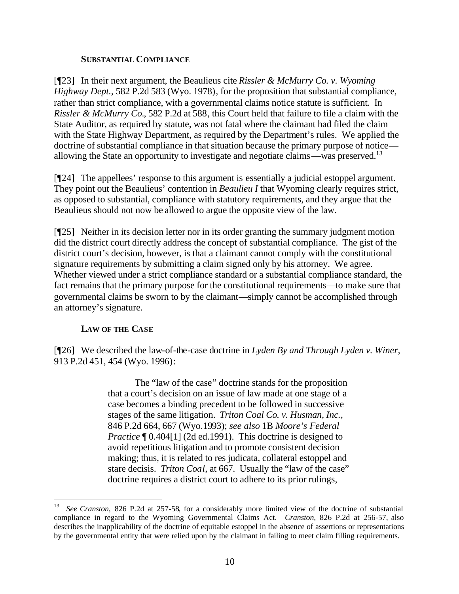### **SUBSTANTIAL COMPLIANCE**

[¶23] In their next argument, the Beaulieus cite *Rissler & McMurry Co. v. Wyoming Highway Dept.,* 582 P.2d 583 (Wyo. 1978), for the proposition that substantial compliance, rather than strict compliance, with a governmental claims notice statute is sufficient. In *Rissler & McMurry Co.*, 582 P.2d at 588, this Court held that failure to file a claim with the State Auditor, as required by statute, was not fatal where the claimant had filed the claim with the State Highway Department, as required by the Department's rules. We applied the doctrine of substantial compliance in that situation because the primary purpose of notice allowing the State an opportunity to investigate and negotiate claims—was preserved.<sup>13</sup>

[¶24] The appellees' response to this argument is essentially a judicial estoppel argument. They point out the Beaulieus' contention in *Beaulieu I* that Wyoming clearly requires strict, as opposed to substantial, compliance with statutory requirements, and they argue that the Beaulieus should not now be allowed to argue the opposite view of the law.

[¶25] Neither in its decision letter nor in its order granting the summary judgment motion did the district court directly address the concept of substantial compliance. The gist of the district court's decision, however, is that a claimant cannot comply with the constitutional signature requirements by submitting a claim signed only by his attorney. We agree. Whether viewed under a strict compliance standard or a substantial compliance standard, the fact remains that the primary purpose for the constitutional requirements—to make sure that governmental claims be sworn to by the claimant—simply cannot be accomplished through an attorney's signature.

### **LAW OF THE CASE**

l

[¶26] We described the law-of-the-case doctrine in *Lyden By and Through Lyden v. Winer,*  913 P.2d 451, 454 (Wyo. 1996):

> The "law of the case" doctrine stands for the proposition that a court's decision on an issue of law made at one stage of a case becomes a binding precedent to be followed in successive stages of the same litigation. *Triton Coal Co. v. Husman, Inc.,*  846 P.2d 664, 667 (Wyo.1993); *see also* 1B *Moore's Federal Practice* ¶ 0.404[1] (2d ed.1991). This doctrine is designed to avoid repetitious litigation and to promote consistent decision making; thus, it is related to res judicata, collateral estoppel and stare decisis. *Triton Coal*, at 667. Usually the "law of the case" doctrine requires a district court to adhere to its prior rulings,

<sup>13</sup> *See Cranston,* 826 P.2d at 257-58, for a considerably more limited view of the doctrine of substantial compliance in regard to the Wyoming Governmental Claims Act. *Cranston,* 826 P.2d at 256-57, also describes the inapplicability of the doctrine of equitable estoppel in the absence of assertions or representations by the governmental entity that were relied upon by the claimant in failing to meet claim filling requirements.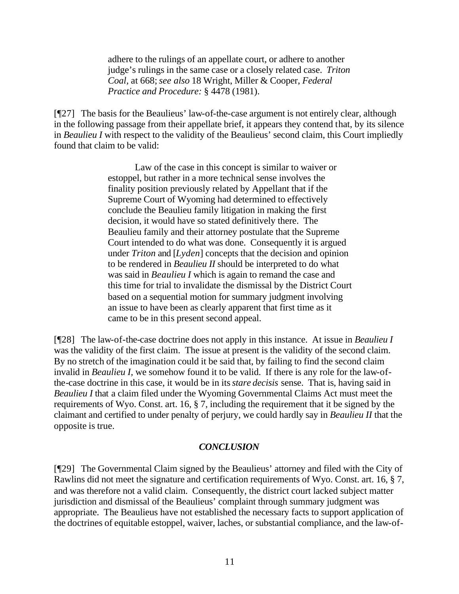adhere to the rulings of an appellate court, or adhere to another judge's rulings in the same case or a closely related case. *Triton Coal,* at 668;*see also* 18 Wright, Miller & Cooper, *Federal Practice and Procedure:* § 4478 (1981).

[¶27] The basis for the Beaulieus' law-of-the-case argument is not entirely clear, although in the following passage from their appellate brief, it appears they contend that, by its silence in *Beaulieu I* with respect to the validity of the Beaulieus' second claim, this Court impliedly found that claim to be valid:

> Law of the case in this concept is similar to waiver or estoppel, but rather in a more technical sense involves the finality position previously related by Appellant that if the Supreme Court of Wyoming had determined to effectively conclude the Beaulieu family litigation in making the first decision, it would have so stated definitively there. The Beaulieu family and their attorney postulate that the Supreme Court intended to do what was done. Consequently it is argued under *Triton* and [*Lyden*] concepts that the decision and opinion to be rendered in *Beaulieu II* should be interpreted to do what was said in *Beaulieu I* which is again to remand the case and this time for trial to invalidate the dismissal by the District Court based on a sequential motion for summary judgment involving an issue to have been as clearly apparent that first time as it came to be in this present second appeal.

[¶28] The law-of-the-case doctrine does not apply in this instance. At issue in *Beaulieu I* was the validity of the first claim. The issue at present is the validity of the second claim. By no stretch of the imagination could it be said that, by failing to find the second claim invalid in *Beaulieu I,* we somehow found it to be valid. If there is any role for the law-ofthe-case doctrine in this case, it would be in its *stare decisis* sense. That is, having said in *Beaulieu I* that a claim filed under the Wyoming Governmental Claims Act must meet the requirements of Wyo. Const. art. 16, § 7, including the requirement that it be signed by the claimant and certified to under penalty of perjury, we could hardly say in *Beaulieu II* that the opposite is true.

### *CONCLUSION*

[¶29] The Governmental Claim signed by the Beaulieus' attorney and filed with the City of Rawlins did not meet the signature and certification requirements of Wyo. Const. art. 16, § 7, and was therefore not a valid claim. Consequently, the district court lacked subject matter jurisdiction and dismissal of the Beaulieus' complaint through summary judgment was appropriate. The Beaulieus have not established the necessary facts to support application of the doctrines of equitable estoppel, waiver, laches, or substantial compliance, and the law-of